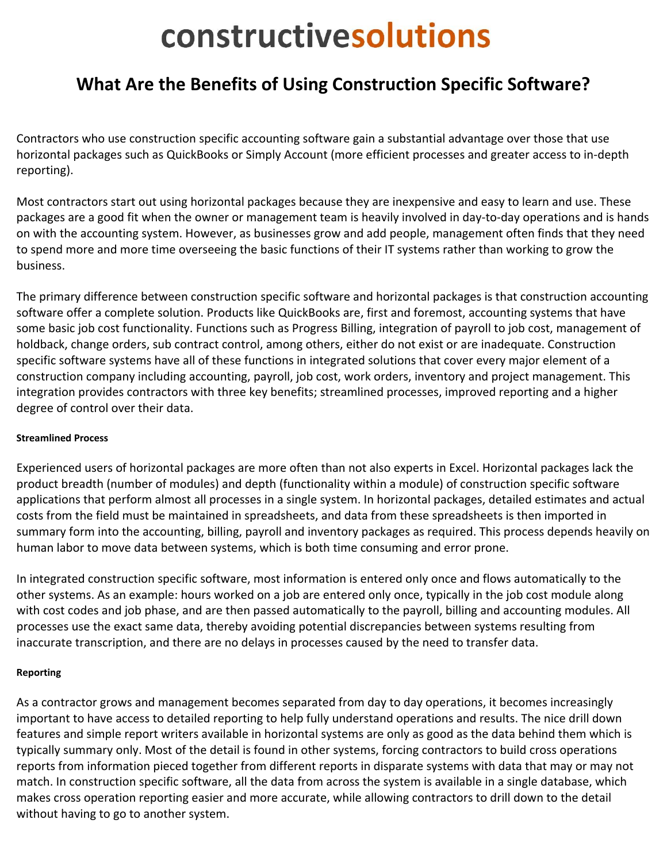# constructivesolutions

# **What Are the Benefits of Using Construction Specific Software?**

Contractors who use construction specific accounting software gain a substantial advantage over those that use horizontal packages such as QuickBooks or Simply Account (more efficient processes and greater access to in‐depth reporting).

Most contractors start out using horizontal packages because they are inexpensive and easy to learn and use. These packages are a good fit when the owner or management team is heavily involved in day‐to‐day operations and is hands on with the accounting system. However, as businesses grow and add people, management often finds that they need to spend more and more time overseeing the basic functions of their IT systems rather than working to grow the business.

The primary difference between construction specific software and horizontal packages is that construction accounting software offer a complete solution. Products like QuickBooks are, first and foremost, accounting systems that have some basic job cost functionality. Functions such as Progress Billing, integration of payroll to job cost, management of holdback, change orders, sub contract control, among others, either do not exist or are inadequate. Construction specific software systems have all of these functions in integrated solutions that cover every major element of a construction company including accounting, payroll, job cost, work orders, inventory and project management. This integration provides contractors with three key benefits; streamlined processes, improved reporting and a higher degree of control over their data.

## **Streamlined Process**

Experienced users of horizontal packages are more often than not also experts in Excel. Horizontal packages lack the product breadth (number of modules) and depth (functionality within a module) of construction specific software applications that perform almost all processes in a single system. In horizontal packages, detailed estimates and actual costs from the field must be maintained in spreadsheets, and data from these spreadsheets is then imported in summary form into the accounting, billing, payroll and inventory packages as required. This process depends heavily on human labor to move data between systems, which is both time consuming and error prone.

In integrated construction specific software, most information is entered only once and flows automatically to the other systems. As an example: hours worked on a job are entered only once, typically in the job cost module along with cost codes and job phase, and are then passed automatically to the payroll, billing and accounting modules. All processes use the exact same data, thereby avoiding potential discrepancies between systems resulting from inaccurate transcription, and there are no delays in processes caused by the need to transfer data.

### **Reporting**

As a contractor grows and management becomes separated from day to day operations, it becomes increasingly important to have access to detailed reporting to help fully understand operations and results. The nice drill down features and simple report writers available in horizontal systems are only as good as the data behind them which is typically summary only. Most of the detail is found in other systems, forcing contractors to build cross operations reports from information pieced together from different reports in disparate systems with data that may or may not match. In construction specific software, all the data from across the system is available in a single database, which makes cross operation reporting easier and more accurate, while allowing contractors to drill down to the detail without having to go to another system.